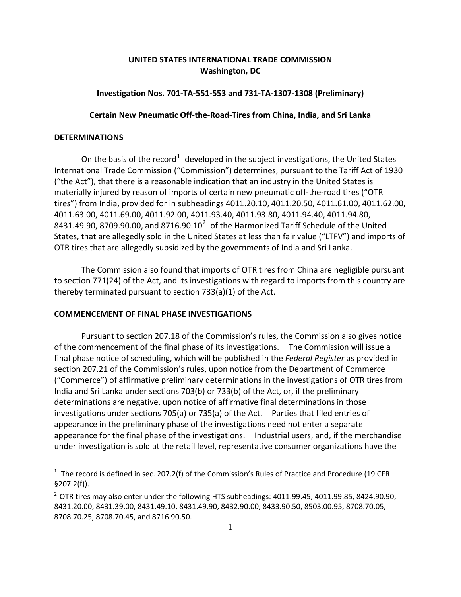# **UNITED STATES INTERNATIONAL TRADE COMMISSION Washington, DC**

### **Investigation Nos. 701-TA-551-553 and 731-TA-1307-1308 (Preliminary)**

#### **Certain New Pneumatic Off-the-Road-Tires from China, India, and Sri Lanka**

# **DETERMINATIONS**

 $\overline{a}$ 

On the basis of the record<sup>[1](#page-0-0)</sup> developed in the subject investigations, the United States International Trade Commission ("Commission") determines, pursuant to the Tariff Act of 1930 ("the Act"), that there is a reasonable indication that an industry in the United States is materially injured by reason of imports of certain new pneumatic off-the-road tires ("OTR tires") from India, provided for in subheadings 4011.20.10, 4011.20.50, 4011.61.00, 4011.62.00, 4011.63.00, 4011.69.00, 4011.92.00, 4011.93.40, 4011.93.80, 4011.94.40, 4011.94.80, 8431.49.90, 8709.90.00, and 8716.90.10 $^2$  $^2$  of the Harmonized Tariff Schedule of the United States, that are allegedly sold in the United States at less than fair value ("LTFV") and imports of OTR tires that are allegedly subsidized by the governments of India and Sri Lanka.

The Commission also found that imports of OTR tires from China are negligible pursuant to section 771(24) of the Act, and its investigations with regard to imports from this country are thereby terminated pursuant to section 733(a)(1) of the Act.

#### **COMMENCEMENT OF FINAL PHASE INVESTIGATIONS**

Pursuant to section 207.18 of the Commission's rules, the Commission also gives notice of the commencement of the final phase of its investigations. The Commission will issue a final phase notice of scheduling, which will be published in the *Federal Register* as provided in section 207.21 of the Commission's rules, upon notice from the Department of Commerce ("Commerce") of affirmative preliminary determinations in the investigations of OTR tires from India and Sri Lanka under sections 703(b) or 733(b) of the Act, or, if the preliminary determinations are negative, upon notice of affirmative final determinations in those investigations under sections 705(a) or 735(a) of the Act. Parties that filed entries of appearance in the preliminary phase of the investigations need not enter a separate appearance for the final phase of the investigations. Industrial users, and, if the merchandise under investigation is sold at the retail level, representative consumer organizations have the

<span id="page-0-0"></span> $1$  The record is defined in sec. 207.2(f) of the Commission's Rules of Practice and Procedure (19 CFR §207.2(f)).

<span id="page-0-1"></span> $2$  OTR tires may also enter under the following HTS subheadings: 4011.99.45, 4011.99.85, 8424.90.90, 8431.20.00, 8431.39.00, 8431.49.10, 8431.49.90, 8432.90.00, 8433.90.50, 8503.00.95, 8708.70.05, 8708.70.25, 8708.70.45, and 8716.90.50.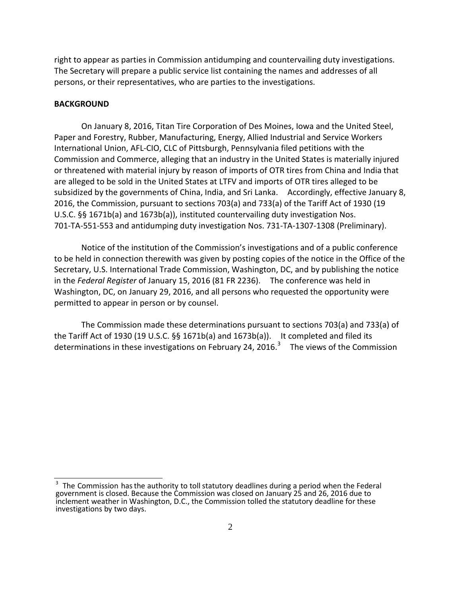right to appear as parties in Commission antidumping and countervailing duty investigations. The Secretary will prepare a public service list containing the names and addresses of all persons, or their representatives, who are parties to the investigations.

## **BACKGROUND**

On January 8, 2016, Titan Tire Corporation of Des Moines, Iowa and the United Steel, Paper and Forestry, Rubber, Manufacturing, Energy, Allied Industrial and Service Workers International Union, AFL-CIO, CLC of Pittsburgh, Pennsylvania filed petitions with the Commission and Commerce, alleging that an industry in the United States is materially injured or threatened with material injury by reason of imports of OTR tires from China and India that are alleged to be sold in the United States at LTFV and imports of OTR tires alleged to be subsidized by the governments of China, India, and Sri Lanka. Accordingly, effective January 8, 2016, the Commission, pursuant to sections 703(a) and 733(a) of the Tariff Act of 1930 (19 U.S.C. §§ 1671b(a) and 1673b(a)), instituted countervailing duty investigation Nos. 701-TA-551-553 and antidumping duty investigation Nos. 731-TA-1307-1308 (Preliminary).

Notice of the institution of the Commission's investigations and of a public conference to be held in connection therewith was given by posting copies of the notice in the Office of the Secretary, U.S. International Trade Commission, Washington, DC, and by publishing the notice in the *Federal Register* of January 15, 2016 (81 FR 2236). The conference was held in Washington, DC, on January 29, 2016, and all persons who requested the opportunity were permitted to appear in person or by counsel.

The Commission made these determinations pursuant to sections 703(a) and 733(a) of the Tariff Act of 1930 (19 U.S.C. §§ 1671b(a) and 1673b(a)). It completed and filed its determinations in these investigations on February 24, 2016. $^3$  $^3$  The views of the Commission

<span id="page-1-0"></span><sup>&</sup>lt;sup>3</sup> The Commission has the authority to toll statutory deadlines during a period when the Federal government is closed. Because the Commission was closed on January 25 and 26, 2016 due to inclement weather in Washington, D.C., the Commission tolled the statutory deadline for these investigations by two days.